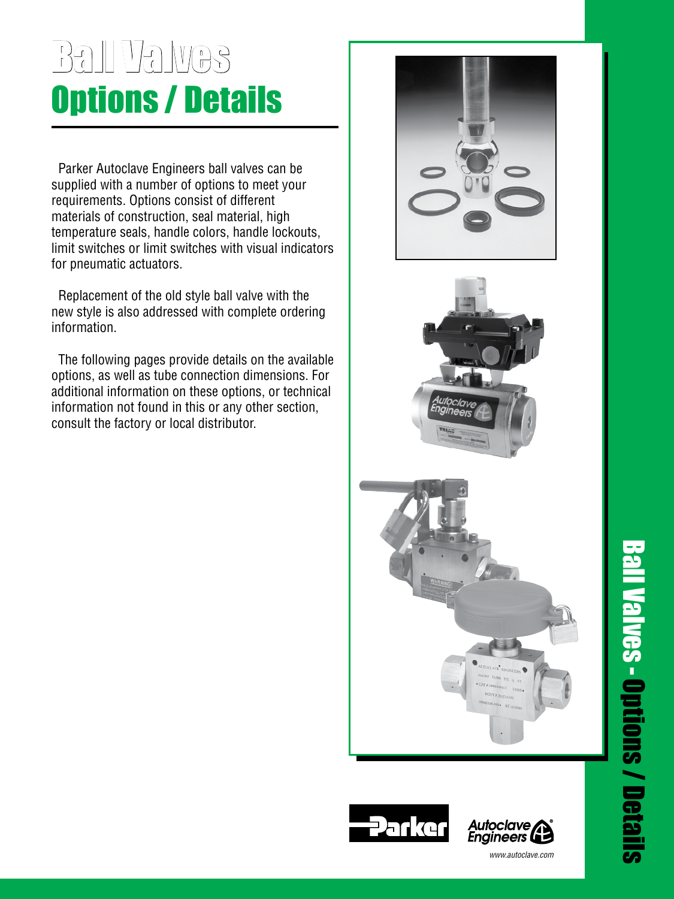# Ball Valves Options / Details

 Parker Autoclave Engineers ball valves can be supplied with a number of options to meet your requirements. Options consist of different materials of construction, seal material, high temperature seals, handle colors, handle lockouts, limit switches or limit switches with visual indicators for pneumatic actuators.

 Replacement of the old style ball valve with the new style is also addressed with complete ordering information.

 The following pages provide details on the available options, as well as tube connection dimensions. For additional information on these options, or technical information not found in this or any other section, consult the factory or local distributor.











 $www.autoclave.com$ www.autoclave.com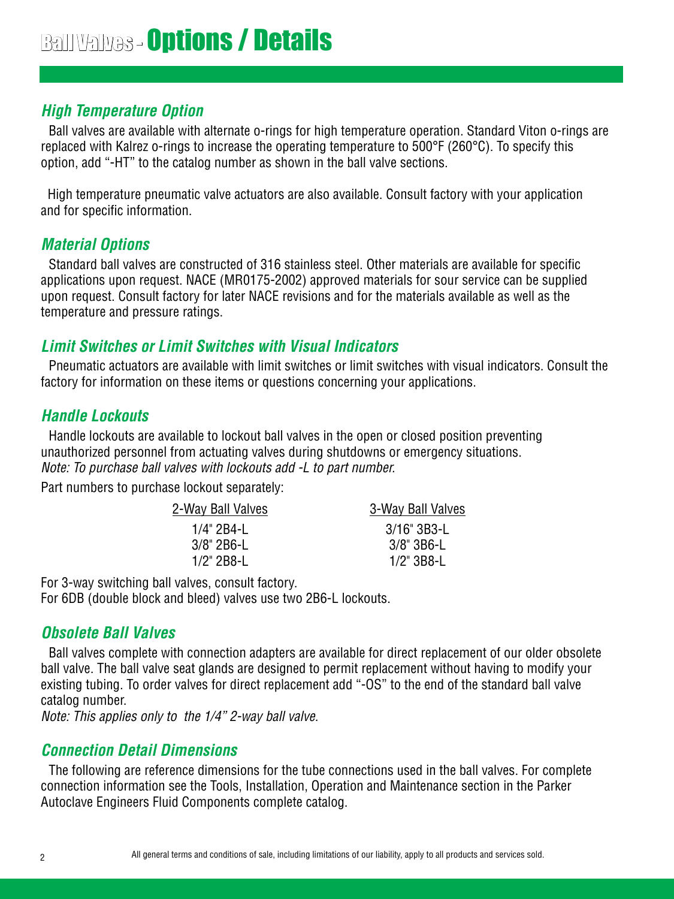# **High Temperature Option**

Ball valves are available with alternate o-rings for high temperature operation. Standard Viton o-rings are replaced with Kalrez o-rings to increase the operating temperature to 500°F (260°C). To specify this option, add "-HT" to the catalog number as shown in the ball valve sections.

 High temperature pneumatic valve actuators are also available. Consult factory with your application and for specific information.

# **Material Options**

Standard ball valves are constructed of 316 stainless steel. Other materials are available for specific applications upon request. NACE (MR0175-2002) approved materials for sour service can be supplied upon request. Consult factory for later NACE revisions and for the materials available as well as the temperature and pressure ratings.

# **Limit Switches or Limit Switches with Visual Indicators**

Pneumatic actuators are available with limit switches or limit switches with visual indicators. Consult the factory for information on these items or questions concerning your applications.

# **Handle Lockouts**

Handle lockouts are available to lockout ball valves in the open or closed position preventing unauthorized personnel from actuating valves during shutdowns or emergency situations. Note: To purchase ball valves with lockouts add -L to part number.

Part numbers to purchase lockout separately:

| <u>2-Way Ball Valves</u> | 3-Way Ball Valves |
|--------------------------|-------------------|
| 1/4" 2B4-L               | 3/16" 3B3-L       |
| $3/8$ " 2B6-L            | $3/8$ " 3B6-L     |
| $1/2$ " 2B8-L            | $1/2$ " 3B8-L     |
|                          |                   |

For 3-way switching ball valves, consult factory.

For 6DB (double block and bleed) valves use two 2B6-L lockouts.

# **Obsolete Ball Valves**

Ball valves complete with connection adapters are available for direct replacement of our older obsolete ball valve. The ball valve seat glands are designed to permit replacement without having to modify your existing tubing. To order valves for direct replacement add "-OS" to the end of the standard ball valve catalog number.

Note: This applies only to the 1/4" 2-way ball valve.

# **Connection Detail Dimensions**

The following are reference dimensions for the tube connections used in the ball valves. For complete connection information see the Tools, Installation, Operation and Maintenance section in the Parker Autoclave Engineers Fluid Components complete catalog.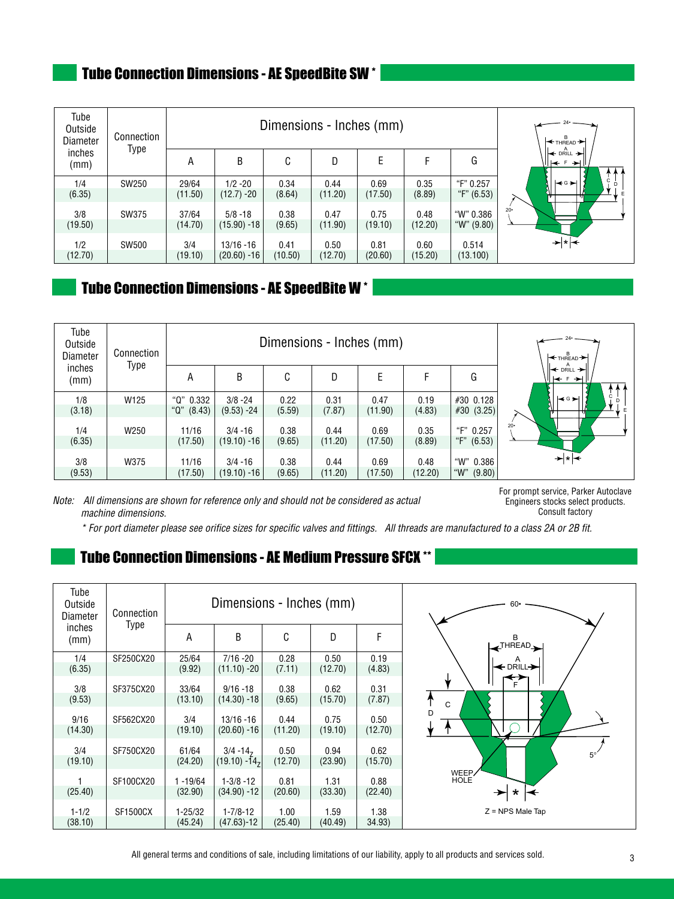# Tube Connection Dimensions - AE SpeedBite SW \*

| Tube<br>Outside<br>Diameter | Connection   |                  | Dimensions - Inches (mm)      | $\leftarrow$ THREAD $\leftarrow$ |                 |                 |                 |                           |                                                                    |
|-----------------------------|--------------|------------------|-------------------------------|----------------------------------|-----------------|-----------------|-----------------|---------------------------|--------------------------------------------------------------------|
| inches<br>(mm)              | Type         | Α                | В                             | C                                | D               | Е               | F               | G                         | I <del>&lt;</del> DRILL →<br>,Н <del>к</del> ⊧<br>-≻⊟<br>$\lambda$ |
| 1/4<br>(6.35)               | SW250        | 29/64<br>(11.50) | $1/2 - 20$<br>$(12.7) - 20$   | 0.34<br>(8.64)                   | 0.44<br>(11.20) | 0.69<br>(17.50) | 0.35<br>(8.89)  | "F" 0.257<br>"F" $(6.53)$ | Ċ.<br>l★G⊁<br>÷<br>$\mathsf{F}$<br>╫<br>ग                          |
| 3/8<br>(19.50)              | SW375        | 37/64<br>(14.70) | $5/8 - 18$<br>$(15.90) - 18$  | 0.38<br>(9.65)                   | 0.47<br>(11.90) | 0.75<br>(19.10) | 0.48<br>(12.20) | "W" 0.386<br>"W" $(9.80)$ | $20-$                                                              |
| 1/2<br>(12.70)              | <b>SW500</b> | 3/4<br>(19.10)   | $13/16 - 16$<br>$(20.60) -16$ | 0.41<br>(10.50)                  | 0.50<br>(12.70) | 0.81<br>(20.60) | 0.60<br>(15.20) | 0.514<br>(13.100)         | → ∗ ←                                                              |

# **Tube Connection Dimensions - AE SpeedBite W** \*

| Tube<br>Outside<br>Diameter | Connection<br><b>Type</b> |                             | Dimensions - Inches (mm)     | $\leftarrow$ THREAD $\leftarrow$ |                 |                 |                 |                                |                                                          |
|-----------------------------|---------------------------|-----------------------------|------------------------------|----------------------------------|-----------------|-----------------|-----------------|--------------------------------|----------------------------------------------------------|
| inches<br>(mm)              |                           | А                           | B                            | C                                | D               | Е               | F               | G                              | $\leftrightarrow$ DRILL $\rightarrow$<br>∥k÷ f →HI<br>11 |
| 1/8<br>(3.18)               | W125                      | "Q" 0.332<br>" $Q$ " (8.43) | $3/8 - 24$<br>$(9.53) - 24$  | 0.22<br>(5.59)                   | 0.31<br>(7.87)  | 0.47<br>(11.90) | 0.19<br>(4.83)  | #30 0.128<br>#30 (3.25)        | Ċ.<br>l≼G⊁l<br>E<br>╖                                    |
| 1/4<br>(6.35)               | W250                      | 11/16<br>(17.50)            | $3/4 - 16$<br>$(19.10) - 16$ | 0.38<br>(9.65)                   | 0.44<br>(11.20) | 0.69<br>(17.50) | 0.35<br>(8.89)  | "F" 0.257<br>"F" (6.53)        | $20 -$                                                   |
| 3/8<br>(9.53)               | W375                      | 11/16<br>(17.50)            | $3/4 - 16$<br>$(19.10) - 16$ | 0.38<br>(9.65)                   | 0.44<br>(11.20) | 0.69<br>(17.50) | 0.48<br>(12.20) | "W" 0.386<br>" $W$ "<br>(9.80) | → ∗ I ←                                                  |

Note: All dimensions are shown for reference only and should not be considered as actual machine dimensions.

For prompt service, Parker Autoclave Engineers stocks select products. Consult factory

\* For port diameter please see orifice sizes for specific valves and fittings. All threads are manufactured to a class 2A or 2B fit.

# Tube Connection Dimensions - AE Medium Pressure SFCX \*\*

| Tube<br>Outside<br>Diameter | Connection      |             | Dimensions - Inches (mm)    |         |         | $60 -$  |                                  |
|-----------------------------|-----------------|-------------|-----------------------------|---------|---------|---------|----------------------------------|
| inches<br>(mm)              | Type            | Α           | B                           | С       | D       | F       | $\leftarrow$ <sup>THREAD</sup>   |
| 1/4                         | SF250CX20       | 25/64       | $7/16 - 20$                 | 0.28    | 0.50    | 0.19    |                                  |
| (6.35)                      |                 | (9.92)      | $(11.10) - 20$              | (7.11)  | (12.70) | (4.83)  | $\leftarrow$ Drill $\rightarrow$ |
|                             |                 |             |                             |         |         |         | E                                |
| 3/8                         | SF375CX20       | 33/64       | $9/16 - 18$                 | 0.38    | 0.62    | 0.31    |                                  |
| (9.53)                      |                 | (13.10)     | $(14.30) - 18$              | (9.65)  | (15.70) | (7.87)  | $\mathsf{C}$                     |
|                             |                 |             |                             |         |         |         | D                                |
| 9/16                        | SF562CX20       | 3/4         | $13/16 - 16$                | 0.44    | 0.75    | 0.50    |                                  |
| (14.30)                     |                 | (19.10)     | $(20.60) -16$               | (11.20) | (19.10) | (12.70) |                                  |
| 3/4                         | SF750CX20       | 61/64       | $3/4 - 14$                  | 0.50    | 0.94    | 0.62    |                                  |
| (19.10)                     |                 | (24.20)     | $(19.10) - 14$ <sub>7</sub> | (12.70) | (23.90) | (15.70) | $5^{\circ'}$                     |
|                             |                 |             |                             |         |         |         | WEEP/                            |
|                             | SF100CX20       | $1 - 19/64$ | $1 - 3/8 - 12$              | 0.81    | 1.31    | 0.88    | <b>HOLE</b>                      |
| (25.40)                     |                 | (32.90)     | $(34.90) - 12$              | (20.60) | (33.30) | (22.40) | $\star \mid \leftarrow$<br>★     |
| $1 - 1/2$                   | <b>SF1500CX</b> | $1 - 25/32$ | $1 - 7/8 - 12$              | 1.00    | 1.59    | 1.38    | $Z = NPS$ Male Tap               |
| (38.10)                     |                 | (45.24)     | $(47.63) - 12$              | (25.40) | (40.49) | 34.93)  |                                  |